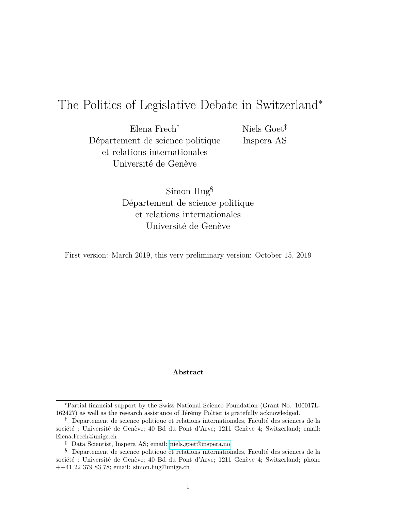# The Politics of Legislative Debate in Switzerland<sup>∗</sup>

Elena Frech† Département de science politique et relations internationales Université de Genève

Niels Goet‡ Inspera AS

Simon Hug§ Département de science politique et relations internationales Université de Genève

First version: March 2019, this very preliminary version: October 15, 2019

#### **Abstract**

<sup>∗</sup>Partial financial support by the Swiss National Science Foundation (Grant No. 100017L-162427) as well as the research assistance of Jérémy Poltier is gratefully acknowledged.

<sup>†</sup> Département de science politique et relations internationales, Faculté des sciences de la société ; Université de Genève; 40 Bd du Pont d'Arve; 1211 Genève 4; Switzerland; email: Elena.Frech@unige.ch

<sup>‡</sup> Data Scientist, Inspera AS; email: [niels.goet@inspera.no](mailto: niels.goet@inspera.no)

<sup>§</sup> Département de science politique et relations internationales, Faculté des sciences de la société ; Université de Genève; 40 Bd du Pont d'Arve; 1211 Genève 4; Switzerland; phone ++41 22 379 83 78; email: simon.hug@unige.ch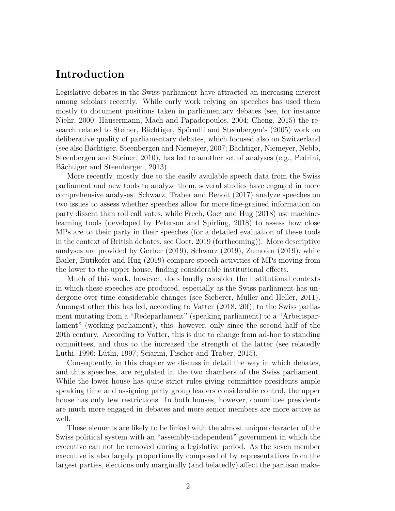## **Introduction**

Legislative debates in the Swiss parliament have attracted an increasing interest among scholars recently. While early work relying on speeches has used them mostly to document positions taken in parliamentary debates (see, for instance Niehr, 2000; Häusermann, Mach and Papadopoulos, 2004; Cheng, 2015) the research related to Steiner, Bächtiger, Spörndli and Steenbergen's (2005) work on deliberative quality of parliamentary debates, which focused also on Switzerland (see also Bächtiger, Steenbergen and Niemeyer, 2007; Bächtiger, Niemeyer, Neblo, Steenbergen and Steiner, 2010), has led to another set of analyses (e.g., Pedrini, Bächtiger and Steenbergen, 2013).

More recently, mostly due to the easily available speech data from the Swiss parliament and new tools to analyze them, several studies have engaged in more comprehensive analyses. Schwarz, Traber and Benoit (2017) analyze speeches on two issues to assess whether speeches allow for more fine-grained information on party dissent than roll call votes, while Frech, Goet and Hug (2018) use machinelearning tools (developed by Peterson and Spirling, 2018) to assess how close MPs are to their party in their speeches (for a detailed evaluation of these tools in the context of British debates, see Goet, 2019 (forthcoming)). More descriptive analyses are provided by Gerber (2019), Schwarz (2019), Zumofen (2019), while Bailer, Bütikofer and Hug (2019) compare speech activities of MPs moving from the lower to the upper house, finding considerable institutional effects.

Much of this work, however, does hardly consider the institutional contexts in which these speeches are produced, especially as the Swiss parliament has undergone over time considerable changes (see Sieberer, Müller and Heller, 2011). Amongst other this has led, according to Vatter (2018, 20f), to the Swiss parliament mutating from a "Redeparlament" (speaking parliament) to a "Arbeitsparlament" (working parliament), this, however, only since the second half of the 20th century. According to Vatter, this is due to change from ad-hoc to standing committees, and thus to the increased the strength of the latter (see relatedly Lüthi, 1996; Lüthi, 1997; Sciarini, Fischer and Traber, 2015).

Consequently, in this chapter we discuss in detail the way in which debates, and thus speeches, are regulated in the two chambers of the Swiss parliament. While the lower house has quite strict rules giving committee presidents ample speaking time and assigning party group leaders considerable control, the upper house has only few restrictions. In both houses, however, committee presidents are much more engaged in debates and more senior members are more active as well.

These elements are likely to be linked with the almost unique character of the Swiss political system with an "assembly-independent" government in which the executive can not be removed during a legislative period. As the seven member executive is also largely proportionally composed of by representatives from the largest parties, elections only marginally (and belatedly) affect the partisan make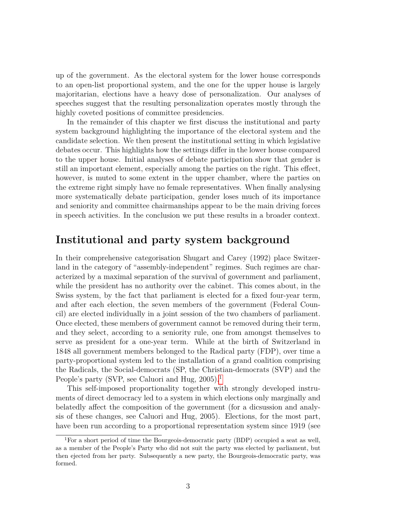up of the government. As the electoral system for the lower house corresponds to an open-list proportional system, and the one for the upper house is largely majoritarian, elections have a heavy dose of personalization. Our analyses of speeches suggest that the resulting personalization operates mostly through the highly coveted positions of committee presidencies.

In the remainder of this chapter we first discuss the institutional and party system background highlighting the importance of the electoral system and the candidate selection. We then present the institutional setting in which legislative debates occur. This highlights how the settings differ in the lower house compared to the upper house. Initial analyses of debate participation show that gender is still an important element, especially among the parties on the right. This effect, however, is muted to some extent in the upper chamber, where the parties on the extreme right simply have no female representatives. When finally analysing more systematically debate participation, gender loses much of its importance and seniority and committee chairmanships appear to be the main driving forces in speech activities. In the conclusion we put these results in a broader context.

### **Institutional and party system background**

In their comprehensive categorisation Shugart and Carey (1992) place Switzerland in the category of "assembly-independent" regimes. Such regimes are characterized by a maximal separation of the survival of government and parliament, while the president has no authority over the cabinet. This comes about, in the Swiss system, by the fact that parliament is elected for a fixed four-year term, and after each election, the seven members of the government (Federal Council) are elected individually in a joint session of the two chambers of parliament. Once elected, these members of government cannot be removed during their term, and they select, according to a seniority rule, one from amongst themselves to serve as president for a one-year term. While at the birth of Switzerland in 1848 all government members belonged to the Radical party (FDP), over time a party-proportional system led to the installation of a grand coalition comprising the Radicals, the Social-democrats (SP, the Christian-democrats (SVP) and the People's party (SVP, see Caluori and Hug, 2005).<sup>[1](#page-2-0)</sup>

This self-imposed proportionality together with strongly developed instruments of direct democracy led to a system in which elections only marginally and belatedly affect the composition of the government (for a dicsussion and analysis of these changes, see Caluori and Hug, 2005). Elections, for the most part, have been run according to a proportional representation system since 1919 (see

<span id="page-2-0"></span><sup>&</sup>lt;sup>1</sup>For a short period of time the Bourgeois-democratic party (BDP) occupied a seat as well, as a member of the People's Party who did not suit the party was elected by parliament, but then ejected from her party. Subsequently a new party, the Bourgeois-democratic party, was formed.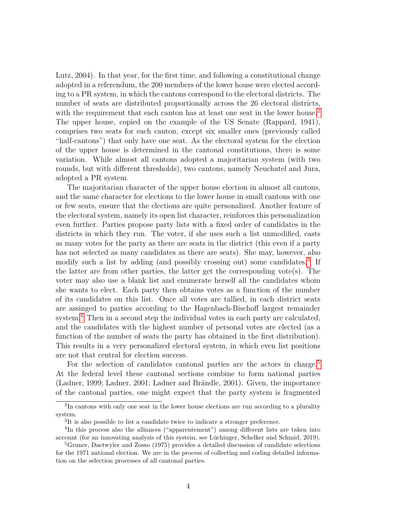Lutz, 2004). In that year, for the first time, and following a constitutional change adopted in a referendum, the 200 members of the lower house were elected according to a PR system, in which the cantons correspond to the electoral districts. The number of seats are distributed proportionally across the 26 electoral districts, with the requirement that each canton has at least one seat in the lower house.<sup>[2](#page-3-0)</sup> The upper house, copied on the example of the US Senate (Rappard, 1941), comprises two seats for each canton, except six smaller ones (previously called "half-cantons") that only have one seat. As the electoral system for the election of the upper house is determined in the cantonal constitutions, there is some variation. While almost all cantons adopted a majoritarian system (with two rounds, but with different thresholds), two cantons, namely Neuchatel and Jura, adopted a PR system.

The majoritarian character of the upper house election in almost all cantons, and the same character for elections to the lower house in small cantons with one or few seats, ensure that the elections are quite personalized. Another feature of the electoral system, namely its open list character, reinforces this personalization even further. Parties propose party lists with a fixed order of candidates in the districts in which they run. The voter, if she uses such a list unmodified, casts as many votes for the party as there are seats in the district (this even if a party has not selected as many candidates as there are seats). She may, however, also modify such a list by adding (and possibly crossing out) some candidates.<sup>[3](#page-3-1)</sup> If the latter are from other parties, the latter get the corresponding vote(s). The voter may also use a blank list and enumerate herself all the candidates whom she wants to elect. Each party then obtains votes as a function of the number of its candidates on this list. Once all votes are tallied, in each district seats are assinged to parties according to the Hagenbach-Bischoff largest remainder system.<sup>[4](#page-3-2)</sup> Then in a second step the individual votes in each party are calculated, and the candidates with the highest number of personal votes are elected (as a function of the number of seats the party has obtained in the first distribution). This results in a very personalized electoral system, in which even list positions are not that central for election success.

For the selection of candidates cantonal parties are the actors in charge.<sup>[5](#page-3-3)</sup> At the federal level these cantonal sections combine to form national parties (Ladner, 1999; Ladner, 2001; Ladner and Brändle, 2001). Given, the importance of the cantonal parties, one might expect that the party system is fragmented

<span id="page-3-0"></span><sup>&</sup>lt;sup>2</sup>In cantons with only one seat in the lower house elections are run according to a plurality system.

<span id="page-3-2"></span><span id="page-3-1"></span><sup>&</sup>lt;sup>3</sup>It is also possible to list a candidate twice to indicate a stronger preference.

<sup>&</sup>lt;sup>4</sup>In this process also the alliances ("apparentement") among different lists are taken into account (for an innovating analysis of this system, see Lüchinger, Schelker and Schmid, 2019).

<span id="page-3-3"></span><sup>&</sup>lt;sup>5</sup>Gruner, Daetwyler and Zosso (1975) provides a detailed discussion of candidate selections for the 1971 national election. We are in the process of collecting and coding detailed information on the selection processes of all cantonal parties.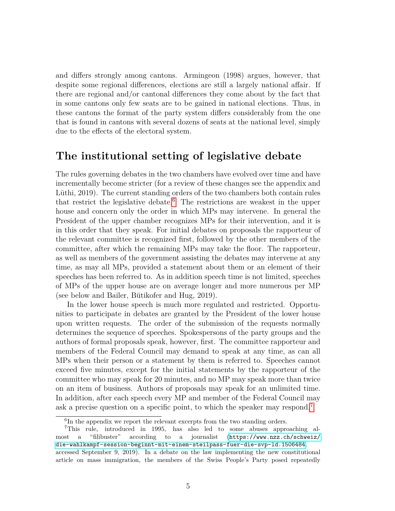and differs strongly among cantons. Armingeon (1998) argues, however, that despite some regional differences, elections are still a largely national affair. If there are regional and/or cantonal differences they come about by the fact that in some cantons only few seats are to be gained in national elections. Thus, in these cantons the format of the party system differs considerably from the one that is found in cantons with several dozens of seats at the national level, simply due to the effects of the electoral system.

#### **The institutional setting of legislative debate**

The rules governing debates in the two chambers have evolved over time and have incrementally become stricter (for a review of these changes see the appendix and Lüthi, 2019). The current standing orders of the two chambers both contain rules that restrict the legislative debate.[6](#page-4-0) The restrictions are weakest in the upper house and concern only the order in which MPs may intervene. In general the President of the upper chamber recognizes MPs for their intervention, and it is in this order that they speak. For initial debates on proposals the rapporteur of the relevant committee is recognized first, followed by the other members of the committee, after which the remaining MPs may take the floor. The rapporteur, as well as members of the government assisting the debates may intervene at any time, as may all MPs, provided a statement about them or an element of their speeches has been referred to. As in addition speech time is not limited, speeches of MPs of the upper house are on average longer and more numerous per MP (see below and Bailer, Bütikofer and Hug, 2019).

In the lower house speech is much more regulated and restricted. Opportunities to participate in debates are granted by the President of the lower house upon written requests. The order of the submission of the requests normally determines the sequence of speeches. Spokespersons of the party groups and the authors of formal proposals speak, however, first. The committee rapporteur and members of the Federal Council may demand to speak at any time, as can all MPs when their person or a statement by them is referred to. Speeches cannot exceed five minutes, except for the initial statements by the rapporteur of the committee who may speak for 20 minutes, and no MP may speak more than twice on an item of business. Authors of proposals may speak for an unlimited time. In addition, after each speech every MP and member of the Federal Council may ask a precise question on a specific point, to which the speaker may respond.[7](#page-4-1)

<span id="page-4-1"></span><span id="page-4-0"></span><sup>&</sup>lt;sup>6</sup>In the appendix we report the relevant excerpts from the two standing orders.

<sup>7</sup>This rule, introduced in 1995, has also led to some abuses approaching almost a "filibuster" according to a journalist ([https://www.nzz.ch/schweiz/](https://www.nzz.ch/schweiz/die-wahlkampf-session-beginnt-mit-einem-steilpass-fuer-die-svp-ld.1506484) [die-wahlkampf-session-beginnt-mit-einem-steilpass-fuer-die-svp-ld.1506484](https://www.nzz.ch/schweiz/die-wahlkampf-session-beginnt-mit-einem-steilpass-fuer-die-svp-ld.1506484), accessed September 9, 2019). In a debate on the law implementing the new constitutional article on mass immigration, the members of the Swiss People's Party posed repeatedly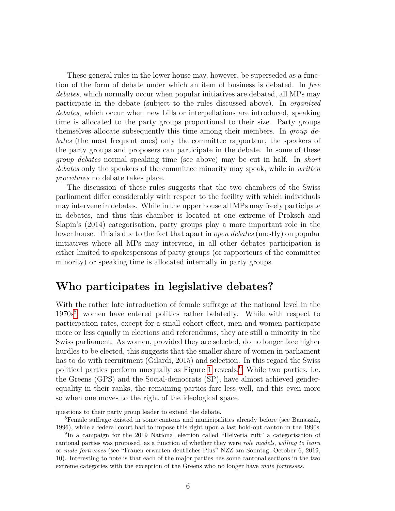These general rules in the lower house may, however, be superseded as a function of the form of debate under which an item of business is debated. In *free debates*, which normally occur when popular initiatives are debated, all MPs may participate in the debate (subject to the rules discussed above). In *organized debates*, which occur when new bills or interpellations are introduced, speaking time is allocated to the party groups proportional to their size. Party groups themselves allocate subsequently this time among their members. In *group debates* (the most frequent ones) only the committee rapporteur, the speakers of the party groups and proposers can participate in the debate. In some of these *group debates* normal speaking time (see above) may be cut in half. In *short debates* only the speakers of the committee minority may speak, while in *written procedures* no debate takes place.

The discussion of these rules suggests that the two chambers of the Swiss parliament differ considerably with respect to the facility with which individuals may intervene in debates. While in the upper house all MPs may freely participate in debates, and thus this chamber is located at one extreme of Proksch and Slapin's (2014) categorisation, party groups play a more important role in the lower house. This is due to the fact that apart in *open debates* (mostly) on popular initiatives where all MPs may intervene, in all other debates participation is either limited to spokespersons of party groups (or rapporteurs of the committee minority) or speaking time is allocated internally in party groups.

#### **Who participates in legislative debates?**

With the rather late introduction of female suffrage at the national level in the 1970s<sup>[8](#page-5-0)</sup>, women have entered politics rather belatedly. While with respect to participation rates, except for a small cohort effect, men and women participate more or less equally in elections and referendums, they are still a minority in the Swiss parliament. As women, provided they are selected, do no longer face higher hurdles to be elected, this suggests that the smaller share of women in parliament has to do with recruitment (Gilardi, 2015) and selection. In this regard the Swiss political parties perform unequally as Figure [1](#page-6-0) reveals.[9](#page-5-1) While two parties, i.e. the Greens (GPS) and the Social-democrats (SP), have almost achieved genderequality in their ranks, the remaining parties fare less well, and this even more so when one moves to the right of the ideological space.

questions to their party group leader to extend the debate.

<span id="page-5-0"></span><sup>8</sup>Female suffrage existed in some cantons and municipalities already before (see Banaszak, 1996), while a federal court had to impose this right upon a last hold-out canton in the 1990s

<span id="page-5-1"></span><sup>9</sup> In a campaign for the 2019 National election called "Helvetia ruft" a categorisation of cantonal parties was proposed, as a function of whether they were *role models*, *willing to learn* or *male fortresses* (see "Frauen erwarten deutliches Plus" NZZ am Sonntag, October 6, 2019, 10). Interesting to note is that each of the major parties has some cantonal sections in the two extreme categories with the exception of the Greens who no longer have *male fortresses*.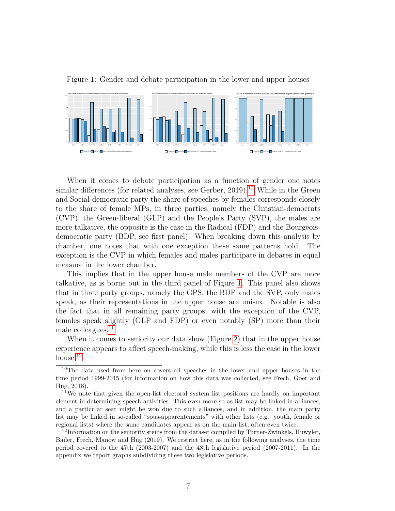<span id="page-6-0"></span>



When it comes to debate participation as a function of gender one notes similar differences (for related analyses, see Gerber, 2019).<sup>[10](#page-6-1)</sup> While in the Green and Social-democratic party the share of speeches by females corresponds closely to the share of female MPs, in three parties, namely the Christian-democrats (CVP), the Green-liberal (GLP) and the People's Party (SVP), the males are more talkative, the opposite is the case in the Radical (FDP) and the Bourgeoisdemocratic party (BDP, see first panel). When breaking down this analysis by chamber, one notes that with one exception these same patterns hold. The exception is the CVP in which females and males participate in debates in equal measure in the lower chamber.

This implies that in the upper house male members of the CVP are more talkative, as is borne out in the third panel of Figure [1.](#page-6-0) This panel also shows that in three party groups, namely the GPS, the BDP and the SVP, only males speak, as their representations in the upper house are unisex. Notable is also the fact that in all remaining party groups, with the exception of the CVP, females speak slightly (GLP and FDP) or even notably (SP) more than their male colleagues.<sup>[11](#page-6-2)</sup>

When it comes to seniority our data show (Figure [2\)](#page-7-0) that in the upper house experience appears to affect speech-making, while this is less the case in the lower house.<sup>[12](#page-6-3)</sup>

<span id="page-6-1"></span><sup>10</sup>The data used from here on covers all speeches in the lower and upper houses in the time period 1999-2015 (for information on how this data was collected, see Frech, Goet and Hug, 2018).

<span id="page-6-2"></span><sup>&</sup>lt;sup>11</sup>We note that given the open-list electoral system list positions are hardly on important element in determining speech activities. This even more so as list may be linked in alliances, and a particular seat might be won due to such alliances, and in addition, the main party list may be linked in so-called "sous-apparentements" with other lists (e.g., youth, female or regional lists) where the same candidates appear as on the main list, often even twice.

<span id="page-6-3"></span> $12$ Information on the seniority stems from the dataset compiled by Turner-Zwinkels, Huwyler, Bailer, Frech, Manow and Hug (2019). We restrict here, as in the following analyses, the time period covered to the 47th (2003-2007) and the 48th legislative period (2007-2011). In the appendix we report graphs subdividing these two legislative periods.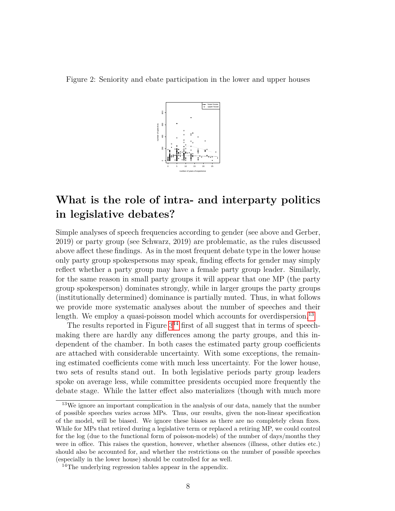<span id="page-7-0"></span>Figure 2: Seniority and ebate participation in the lower and upper houses



## **What is the role of intra- and interparty politics in legislative debates?**

Simple analyses of speech frequencies according to gender (see above and Gerber, 2019) or party group (see Schwarz, 2019) are problematic, as the rules discussed above affect these findings. As in the most frequent debate type in the lower house only party group spokespersons may speak, finding effects for gender may simply reflect whether a party group may have a female party group leader. Similarly, for the same reason in small party groups it will appear that one MP (the party group spokesperson) dominates strongly, while in larger groups the party groups (institutionally determined) dominance is partially muted. Thus, in what follows we provide more systematic analyses about the number of speeches and their length. We employ a quasi-poisson model which accounts for overdispersion.<sup>[13](#page-7-1)</sup>

The results reported in Figure  $3^{14}$  $3^{14}$  $3^{14}$  first of all suggest that in terms of speechmaking there are hardly any differences among the party groups, and this independent of the chamber. In both cases the estimated party group coefficients are attached with considerable uncertainty. With some exceptions, the remaining estimated coefficients come with much less uncertainty. For the lower house, two sets of results stand out. In both legislative periods party group leaders spoke on average less, while committee presidents occupied more frequently the debate stage. While the latter effect also materializes (though with much more

<span id="page-7-1"></span><sup>&</sup>lt;sup>13</sup>We ignore an important complication in the analysis of our data, namely that the number of possible speeches varies across MPs. Thus, our results, given the non-linear specification of the model, will be biased. We ignore these biases as there are no completely clean fixes. While for MPs that retired during a legislative term or replaced a retiring MP, we could control for the log (due to the functional form of poisson-models) of the number of days/months they were in office. This raises the question, however, whether absences (illness, other duties etc.) should also be accounted for, and whether the restrictions on the number of possible speeches (especially in the lower house) should be controlled for as well.

<span id="page-7-2"></span><sup>&</sup>lt;sup>14</sup>The underlying regression tables appear in the appendix.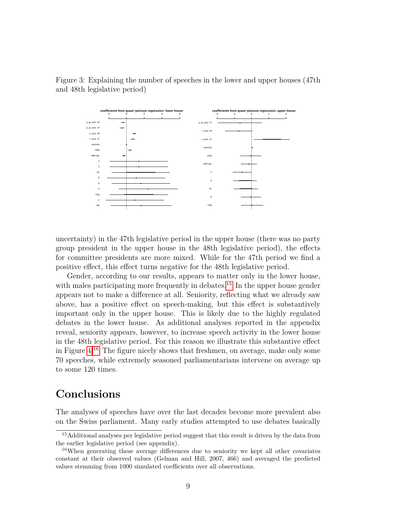

<span id="page-8-0"></span>Figure 3: Explaining the number of speeches in the lower and upper houses (47th and 48th legislative period)

uncertainty) in the 47th legislative period in the upper house (there was no party group president in the upper house in the 48th legislative period), the effects for committee presidents are more mixed. While for the 47th period we find a positive effect, this effect turns negative for the 48th legislative period.

Gender, according to our results, appears to matter only in the lower house, with males participating more frequently in debates.<sup>[15](#page-8-1)</sup> In the upper house gender appears not to make a difference at all. Seniority, reflecting what we already saw above, has a positive effect on speech-making, but this effect is substantively important only in the upper house. This is likely due to the highly regulated debates in the lower house. As additional analyses reported in the appendix reveal, seniority appears, however, to increase speech activity in the lower house in the 48th legislative period. For this reason we illustrate this substantive effect in Figure [4.](#page-9-0)[16](#page-8-2) The figure nicely shows that freshmen, on average, make only some 70 speeches, while extremely seasoned parliamentarians intervene on average up to some 120 times.

## **Conclusions**

The analyses of speeches have over the last decades become more prevalent also on the Swiss parliament. Many early studies attempted to use debates basically

<span id="page-8-1"></span><sup>&</sup>lt;sup>15</sup>Additional analyses per legislative period suggest that this result is driven by the data from the earlier legislative period (see appendix).

<span id="page-8-2"></span><sup>&</sup>lt;sup>16</sup>When generating these average differences due to seniority we kept all other covariates constant at their observed values (Gelman and Hill, 2007, 466) and averaged the predicted values stemming from 1000 simulated coefficients over all observations.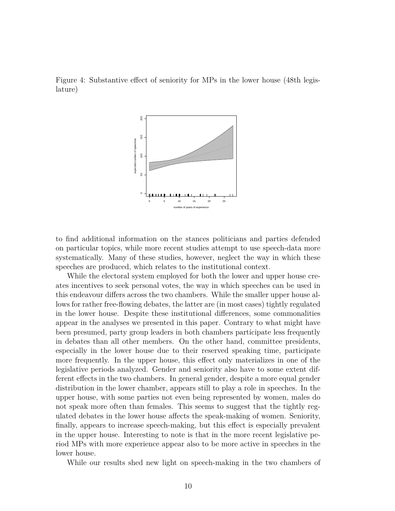<span id="page-9-0"></span>



to find additional information on the stances politicians and parties defended on particular topics, while more recent studies attempt to use speech-data more systematically. Many of these studies, however, neglect the way in which these speeches are produced, which relates to the institutional context.

While the electoral system employed for both the lower and upper house creates incentives to seek personal votes, the way in which speeches can be used in this endeavour differs across the two chambers. While the smaller upper house allows for rather free-flowing debates, the latter are (in most cases) tightly regulated in the lower house. Despite these institutional differences, some commonalities appear in the analyses we presented in this paper. Contrary to what might have been presumed, party group leaders in both chambers participate less frequently in debates than all other members. On the other hand, committee presidents, especially in the lower house due to their reserved speaking time, participate more frequently. In the upper house, this effect only materializes in one of the legislative periods analyzed. Gender and seniority also have to some extent different effects in the two chambers. In general gender, despite a more equal gender distribution in the lower chamber, appears still to play a role in speeches. In the upper house, with some parties not even being represented by women, males do not speak more often than females. This seems to suggest that the tightly regulated debates in the lower house affects the speak-making of women. Seniority, finally, appears to increase speech-making, but this effect is especially prevalent in the upper house. Interesting to note is that in the more recent legislative period MPs with more experience appear also to be more active in speeches in the lower house.

While our results shed new light on speech-making in the two chambers of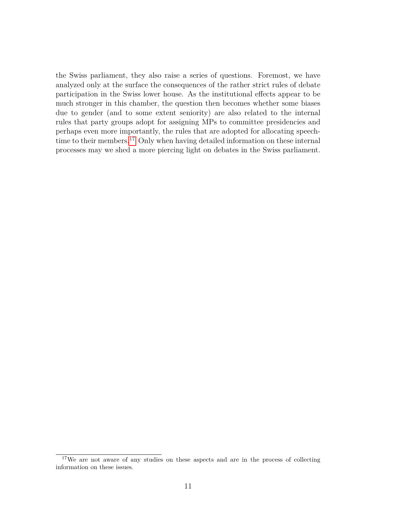the Swiss parliament, they also raise a series of questions. Foremost, we have analyzed only at the surface the consequences of the rather strict rules of debate participation in the Swiss lower house. As the institutional effects appear to be much stronger in this chamber, the question then becomes whether some biases due to gender (and to some extent seniority) are also related to the internal rules that party groups adopt for assigning MPs to committee presidencies and perhaps even more importantly, the rules that are adopted for allocating speech-time to their members.<sup>[17](#page-10-0)</sup> Only when having detailed information on these internal processes may we shed a more piercing light on debates in the Swiss parliament.

<span id="page-10-0"></span><sup>&</sup>lt;sup>17</sup>We are not aware of any studies on these aspects and are in the process of collecting information on these issues.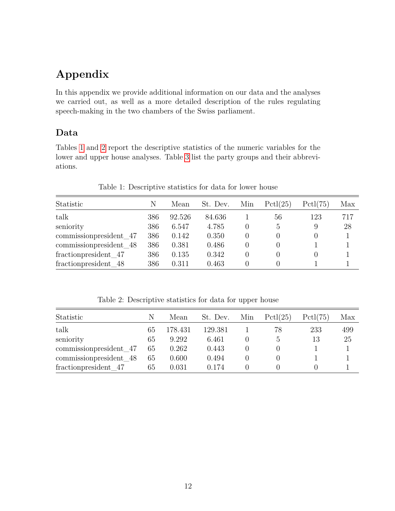# **Appendix**

In this appendix we provide additional information on our data and the analyses we carried out, as well as a more detailed description of the rules regulating speech-making in the two chambers of the Swiss parliament.

#### **Data**

Tables [1](#page-11-0) and [2](#page-11-1) report the descriptive statistics of the numeric variables for the lower and upper house analyses. Table [3](#page-12-0) list the party groups and their abbreviations.

| Statistic               | Ν   | Mean   | St. Dev. | Min | Pctl(25) | Pctl(75) | Max |
|-------------------------|-----|--------|----------|-----|----------|----------|-----|
| talk                    | 386 | 92.526 | 84.636   |     | 56       | 123      | 717 |
| seniority               | 386 | 6.547  | 4.785    |     | 5        | 9        | 28  |
| commission president 47 | 386 | 0.142  | 0.350    |     | 0        | $\Omega$ |     |
| commissionpresident_48  | 386 | 0.381  | 0.486    |     | 0        |          |     |
| fractionpresident 47    | 386 | 0.135  | 0.342    |     | 0        |          |     |
| fraction president 48   | 386 | 0.311  | 0.463    |     | 0        |          |     |

<span id="page-11-0"></span>Table 1: Descriptive statistics for data for lower house

<span id="page-11-1"></span>Table 2: Descriptive statistics for data for upper house

| Statistic               | N  | Mean    | St. Dev. | Min | Pctl(25) | Pctl(75) | Max |
|-------------------------|----|---------|----------|-----|----------|----------|-----|
| talk                    | 65 | 178.431 | 129.381  |     | 78       | 233      | 499 |
| seniority               | 65 | 9.292   | 6.461    |     |          | 13       | 25  |
| commissionpresident 47  | 65 | 0.262   | 0.443    |     |          |          |     |
| commission president 48 | 65 | 0.600   | 0.494    |     |          |          |     |
| fraction president 47   | 65 | 0.031   | 0.174    |     |          |          |     |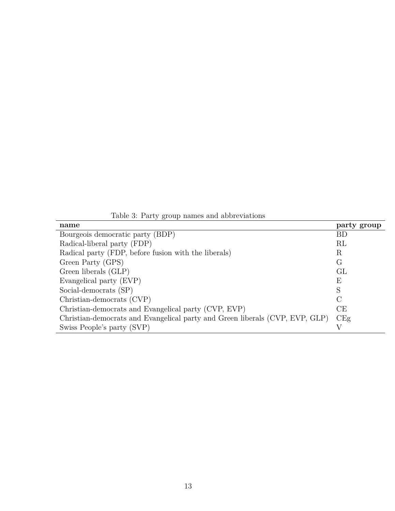<span id="page-12-0"></span>Table 3: Party group names and abbreviations

| name                                                                         | party group |
|------------------------------------------------------------------------------|-------------|
| Bourgeois democratic party (BDP)                                             | <b>BD</b>   |
| Radical-liberal party (FDP)                                                  | RL          |
| Radical party (FDP, before fusion with the liberals)                         | R           |
| Green Party (GPS)                                                            | G           |
| Green liberals (GLP)                                                         | GL          |
| Evangelical party (EVP)                                                      | Е           |
| Social-democrats (SP)                                                        | S           |
| Christian-democrats (CVP)                                                    | $\rm C$     |
| Christian-democrats and Evangelical party (CVP, EVP)                         | CE          |
| Christian-democrats and Evangelical party and Green liberals (CVP, EVP, GLP) | CEg         |
| Swiss People's party (SVP)                                                   |             |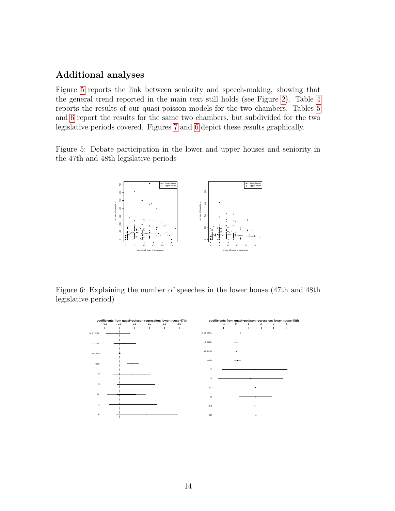#### **Additional analyses**

Figure [5](#page-13-0) reports the link between seniority and speech-making, showing that the general trend reported in the main text still holds (see Figure [2\)](#page-7-0). Table [4](#page-14-0) reports the results of our quasi-poisson models for the two chambers. Tables [5](#page-15-0) and [6](#page-16-0) report the results for the same two chambers, but subdivided for the two legislative periods covered. Figures [7](#page-17-0) and [6](#page-13-1) depict these results graphically.

<span id="page-13-0"></span>Figure 5: Debate participation in the lower and upper houses and seniority in the 47th and 48th legislative periods



Figure 6: Explaining the number of speeches in the lower house (47th and 48th legislative period)

<span id="page-13-1"></span>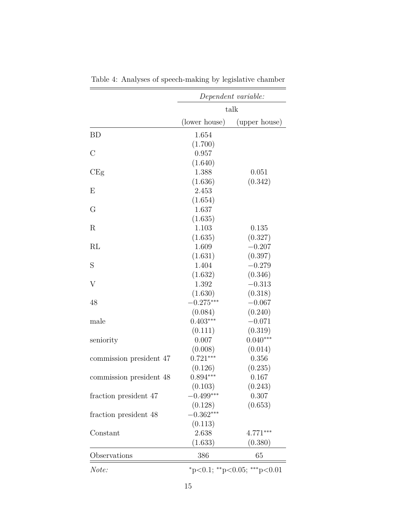|                         | Dependent variable:<br>talk |                             |  |
|-------------------------|-----------------------------|-----------------------------|--|
|                         |                             |                             |  |
|                         | (lower house)               | (upper house)               |  |
| <b>BD</b>               | 1.654                       |                             |  |
|                         | (1.700)                     |                             |  |
| $\mathcal{C}$           | 0.957                       |                             |  |
|                         | (1.640)                     |                             |  |
| CEg                     | 1.388                       | 0.051                       |  |
|                         | (1.636)                     | (0.342)                     |  |
| E                       | 2.453                       |                             |  |
|                         | (1.654)                     |                             |  |
| G                       | 1.637                       |                             |  |
|                         | (1.635)                     |                             |  |
| R                       | 1.103                       | 0.135                       |  |
|                         | (1.635)                     | (0.327)                     |  |
| RL                      | 1.609                       | $-0.207$                    |  |
|                         | (1.631)                     | (0.397)                     |  |
| S                       | 1.404                       | $-0.279$                    |  |
|                         | (1.632)                     | (0.346)                     |  |
| V                       | 1.392                       | $-0.313$                    |  |
|                         | (1.630)                     | (0.318)                     |  |
| 48                      | $-0.275***$                 | $-0.067$                    |  |
|                         | (0.084)                     | (0.240)                     |  |
| male                    | $0.403***$                  | $-0.071$                    |  |
|                         | (0.111)                     | (0.319)                     |  |
| seniority               | 0.007                       | $0.040***$                  |  |
|                         | (0.008)                     | (0.014)                     |  |
| commission president 47 | $0.721***$                  | 0.356                       |  |
|                         | (0.126)                     | (0.235)                     |  |
| commission president 48 | $0.894***$                  | 0.167                       |  |
|                         | (0.103)                     | (0.243)                     |  |
| fraction president 47   | $-0.499***$                 | 0.307                       |  |
|                         | (0.128)                     | (0.653)                     |  |
| fraction president 48   | $-0.362***$                 |                             |  |
|                         | (0.113)                     |                             |  |
| Constant                | 2.638                       | $4.771***$                  |  |
|                         | (1.633)                     | (0.380)                     |  |
| Observations            | 386                         | 65                          |  |
| Note:                   |                             | *p<0.1; **p<0.05; ***p<0.01 |  |

<span id="page-14-0"></span>Table 4: Analyses of speech-making by legislative chamber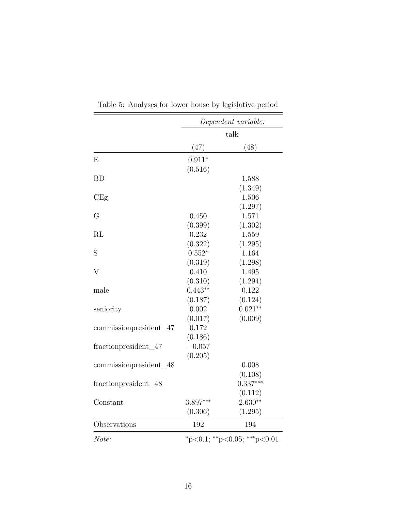|                        | Dependent variable:<br>talk             |            |  |
|------------------------|-----------------------------------------|------------|--|
|                        |                                         |            |  |
|                        | (47)                                    | (48)       |  |
| E                      | $0.911*$                                |            |  |
|                        | (0.516)                                 |            |  |
| <b>BD</b>              |                                         | 1.588      |  |
|                        |                                         | (1.349)    |  |
| CEg                    |                                         | 1.506      |  |
|                        |                                         | (1.297)    |  |
| $\rm G$                | 0.450                                   | 1.571      |  |
|                        | (0.399)                                 | (1.302)    |  |
| $\rm RL$               | 0.232                                   | 1.559      |  |
|                        | (0.322)                                 | (1.295)    |  |
| S                      | $0.552*$                                | 1.164      |  |
|                        | (0.319)                                 | (1.298)    |  |
| $\overline{V}$         | 0.410                                   | 1.495      |  |
|                        | (0.310)                                 | (1.294)    |  |
| male                   | $0.443**$                               | 0.122      |  |
|                        | (0.187)                                 | (0.124)    |  |
| seniority              | 0.002                                   | $0.021**$  |  |
|                        | (0.017)                                 | (0.009)    |  |
| commissionpresident_47 | 0.172                                   |            |  |
|                        | (0.186)                                 |            |  |
| fractionpresident_47   | $-0.057$                                |            |  |
|                        | (0.205)                                 |            |  |
| commissionpresident_48 |                                         | 0.008      |  |
|                        |                                         | (0.108)    |  |
| fractionpresident_48   |                                         | $0.337***$ |  |
|                        |                                         | (0.112)    |  |
| Constant               | 3.897***                                | $2.630**$  |  |
|                        | (0.306)                                 | (1.295)    |  |
| Observations           | 192                                     | 194        |  |
| Note:                  | $*_{p<0.1;}$ $*_{p<0.05;}$ $*_{p<0.01}$ |            |  |

<span id="page-15-0"></span>Table 5: Analyses for lower house by legislative period

í.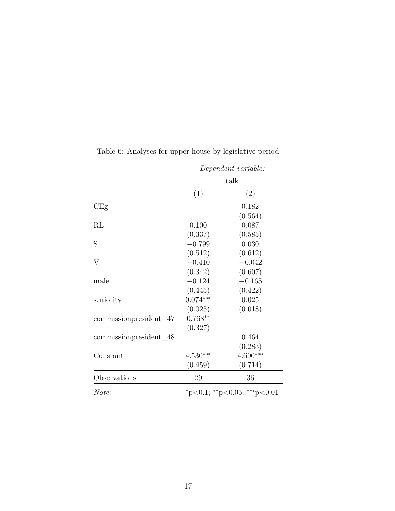|                                   | Dependent variable:         |            |  |
|-----------------------------------|-----------------------------|------------|--|
|                                   | talk                        |            |  |
|                                   | (1)                         | (2)        |  |
| CEg                               |                             | 0.182      |  |
|                                   |                             | (0.564)    |  |
| $\rm RL$                          | 0.100                       | 0.087      |  |
|                                   | (0.337)                     | (0.585)    |  |
| S                                 | $-0.799$                    | 0.030      |  |
|                                   | (0.512)                     | (0.612)    |  |
| V                                 | $-0.410$                    | $-0.042$   |  |
|                                   | (0.342)                     | (0.607)    |  |
| male                              | $-0.124$                    | $-0.165$   |  |
|                                   | (0.445)                     | (0.422)    |  |
| seniority                         | $0.074***$                  | 0.025      |  |
|                                   | (0.025)                     | (0.018)    |  |
| commissionpresident <sub>47</sub> | $0.768**$                   |            |  |
|                                   | (0.327)                     |            |  |
| commissionpresident_48            |                             | 0.464      |  |
|                                   |                             | (0.283)    |  |
| Constant                          | $4.530***$                  | $4.690***$ |  |
|                                   | (0.459)                     | (0.714)    |  |
| Observations                      | 29                          | 36         |  |
| Note:                             | *p<0.1; **p<0.05; ***p<0.01 |            |  |

<span id="page-16-0"></span>Table 6: Analyses for upper house by legislative period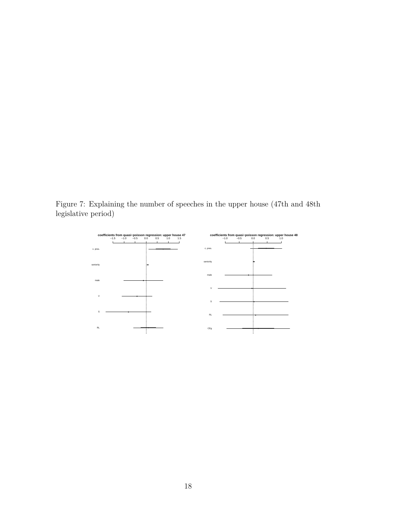Figure 7: Explaining the number of speeches in the upper house (47th and 48th legislative period)

<span id="page-17-0"></span>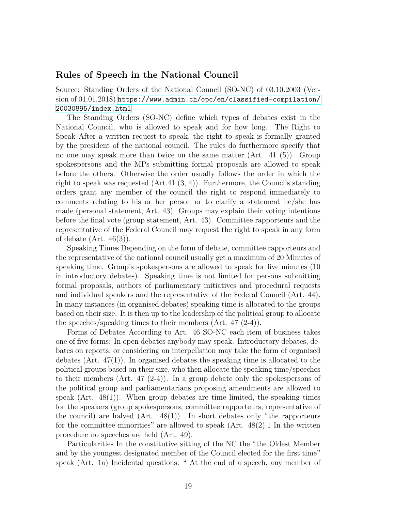#### **Rules of Speech in the National Council**

Source: Standing Orders of the National Council (SO-NC) of 03.10.2003 (Version of 01.01.2018) [https://www.admin.ch/opc/en/classified-compilation/](https://www.admin.ch/opc/en/classified-compilation/20030895/index.html) [20030895/index.html](https://www.admin.ch/opc/en/classified-compilation/20030895/index.html)

The Standing Orders (SO-NC) define which types of debates exist in the National Council, who is allowed to speak and for how long. The Right to Speak After a written request to speak, the right to speak is formally granted by the president of the national council. The rules do furthermore specify that no one may speak more than twice on the same matter (Art. 41 (5)). Group spokespersons and the MPs submitting formal proposals are allowed to speak before the others. Otherwise the order usually follows the order in which the right to speak was requested  $(Art.41 (3, 4))$ . Furthermore, the Councils standing orders grant any member of the council the right to respond immediately to comments relating to his or her person or to clarify a statement he/she has made (personal statement, Art. 43). Groups may explain their voting intentions before the final vote (group statement, Art. 43). Committee rapporteurs and the representative of the Federal Council may request the right to speak in any form of debate  $(Art. 46(3))$ .

Speaking Times Depending on the form of debate, committee rapporteurs and the representative of the national council usually get a maximum of 20 Minutes of speaking time. Group's spokespersons are allowed to speak for five minutes (10 in introductory debates). Speaking time is not limited for persons submitting formal proposals, authors of parliamentary initiatives and procedural requests and individual speakers and the representative of the Federal Council (Art. 44). In many instances (in organised debates) speaking time is allocated to the groups based on their size. It is then up to the leadership of the political group to allocate the speeches/speaking times to their members (Art. 47 (2-4)).

Forms of Debates According to Art. 46 SO-NC each item of business takes one of five forms: In open debates anybody may speak. Introductory debates, debates on reports, or considering an interpellation may take the form of organised debates (Art. 47(1)). In organised debates the speaking time is allocated to the political groups based on their size, who then allocate the speaking time/speeches to their members (Art. 47 (2-4)). In a group debate only the spokespersons of the political group and parliamentarians proposing amendments are allowed to speak  $(Art. 48(1))$ . When group debates are time limited, the speaking times for the speakers (group spokespersons, committee rapporteurs, representative of the council) are halved  $(Art. 48(1))$ . In short debates only "the rapporteurs" for the committee minorities" are allowed to speak  $(Art. 48(2).1$  In the written procedure no speeches are held (Art. 49).

Particularities In the constitutive sitting of the NC the "the Oldest Member and by the youngest designated member of the Council elected for the first time" speak (Art. 1a) Incidental questions: " At the end of a speech, any member of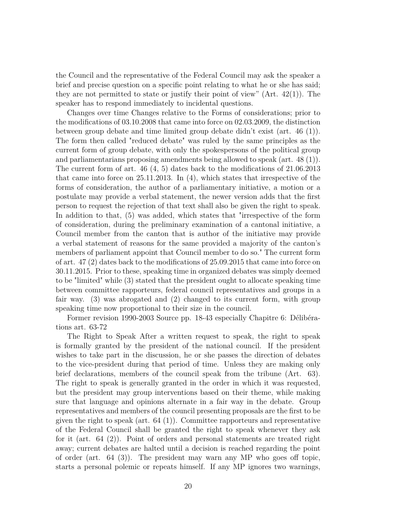the Council and the representative of the Federal Council may ask the speaker a brief and precise question on a specific point relating to what he or she has said; they are not permitted to state or justify their point of view"  $(Art. 42(1))$ . The speaker has to respond immediately to incidental questions.

Changes over time Changes relative to the Forms of considerations; prior to the modifications of 03.10.2008 that came into force on 02.03.2009, the distinction between group debate and time limited group debate didn't exist (art. 46 (1)). The form then called "reduced debate" was ruled by the same principles as the current form of group debate, with only the spokespersons of the political group and parliamentarians proposing amendments being allowed to speak (art. 48 (1)). The current form of art. 46 (4, 5) dates back to the modifications of 21.06.2013 that came into force on 25.11.2013. In (4), which states that irrespective of the forms of consideration, the author of a parliamentary initiative, a motion or a postulate may provide a verbal statement, the newer version adds that the first person to request the rejection of that text shall also be given the right to speak. In addition to that, (5) was added, which states that "irrespective of the form of consideration, during the preliminary examination of a cantonal initiative, a Council member from the canton that is author of the initiative may provide a verbal statement of reasons for the same provided a majority of the canton's members of parliament appoint that Council member to do so." The current form of art. 47 (2) dates back to the modifications of 25.09.2015 that came into force on 30.11.2015. Prior to these, speaking time in organized debates was simply deemed to be "limited" while (3) stated that the president ought to allocate speaking time between committee rapporteurs, federal council representatives and groups in a fair way. (3) was abrogated and (2) changed to its current form, with group speaking time now proportional to their size in the council.

Former revision 1990-2003 Source pp. 18-43 especially Chapitre 6: Délibérations art. 63-72

The Right to Speak After a written request to speak, the right to speak is formally granted by the president of the national council. If the president wishes to take part in the discussion, he or she passes the direction of debates to the vice-president during that period of time. Unless they are making only brief declarations, members of the council speak from the tribune (Art. 63). The right to speak is generally granted in the order in which it was requested, but the president may group interventions based on their theme, while making sure that language and opinions alternate in a fair way in the debate. Group representatives and members of the council presenting proposals are the first to be given the right to speak (art. 64 (1)). Committee rapporteurs and representative of the Federal Council shall be granted the right to speak whenever they ask for it (art. 64 (2)). Point of orders and personal statements are treated right away; current debates are halted until a decision is reached regarding the point of order (art. 64 (3)). The president may warn any MP who goes off topic, starts a personal polemic or repeats himself. If any MP ignores two warnings,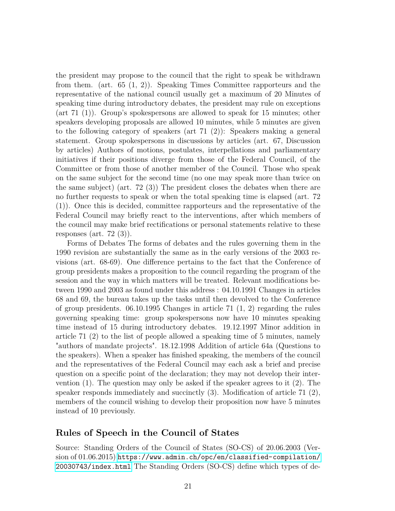the president may propose to the council that the right to speak be withdrawn from them. (art. 65 (1, 2)). Speaking Times Committee rapporteurs and the representative of the national council usually get a maximum of 20 Minutes of speaking time during introductory debates, the president may rule on exceptions (art 71 (1)). Group's spokespersons are allowed to speak for 15 minutes; other speakers developing proposals are allowed 10 minutes, while 5 minutes are given to the following category of speakers (art  $71$  (2)): Speakers making a general statement. Group spokespersons in discussions by articles (art. 67, Discussion by articles) Authors of motions, postulates, interpellations and parliamentary initiatives if their positions diverge from those of the Federal Council, of the Committee or from those of another member of the Council. Those who speak on the same subject for the second time (no one may speak more than twice on the same subject) (art. 72 (3)) The president closes the debates when there are no further requests to speak or when the total speaking time is elapsed (art. 72 (1)). Once this is decided, committee rapporteurs and the representative of the Federal Council may briefly react to the interventions, after which members of the council may make brief rectifications or personal statements relative to these responses (art.  $72$  (3)).

Forms of Debates The forms of debates and the rules governing them in the 1990 revision are substantially the same as in the early versions of the 2003 revisions (art. 68-69). One difference pertains to the fact that the Conference of group presidents makes a proposition to the council regarding the program of the session and the way in which matters will be treated. Relevant modifications between 1990 and 2003 as found under this address : 04.10.1991 Changes in articles 68 and 69, the bureau takes up the tasks until then devolved to the Conference of group presidents. 06.10.1995 Changes in article 71 (1, 2) regarding the rules governing speaking time: group spokespersons now have 10 minutes speaking time instead of 15 during introductory debates. 19.12.1997 Minor addition in article 71 (2) to the list of people allowed a speaking time of 5 minutes, namely "authors of mandate projects". 18.12.1998 Addition of article 64a (Questions to the speakers). When a speaker has finished speaking, the members of the council and the representatives of the Federal Council may each ask a brief and precise question on a specific point of the declaration; they may not develop their intervention (1). The question may only be asked if the speaker agrees to it (2). The speaker responds immediately and succinctly (3). Modification of article 71 (2), members of the council wishing to develop their proposition now have 5 minutes instead of 10 previously.

#### **Rules of Speech in the Council of States**

Source: Standing Orders of the Council of States (SO-CS) of 20.06.2003 (Version of 01.06.2015) [https://www.admin.ch/opc/en/classified-compilation/](https://www.admin.ch/opc/en/classified-compilation/20030743/index.html) [20030743/index.html](https://www.admin.ch/opc/en/classified-compilation/20030743/index.html) The Standing Orders (SO-CS) define which types of de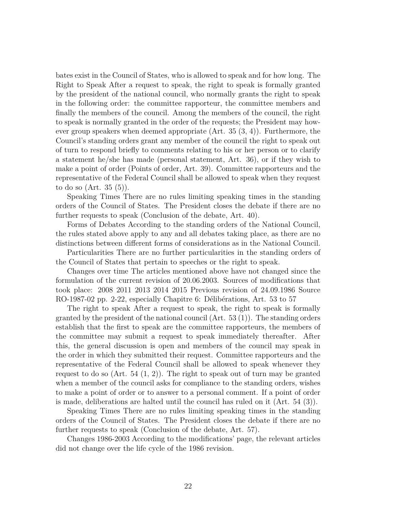bates exist in the Council of States, who is allowed to speak and for how long. The Right to Speak After a request to speak, the right to speak is formally granted by the president of the national council, who normally grants the right to speak in the following order: the committee rapporteur, the committee members and finally the members of the council. Among the members of the council, the right to speak is normally granted in the order of the requests; the President may however group speakers when deemed appropriate (Art. 35 (3, 4)). Furthermore, the Council's standing orders grant any member of the council the right to speak out of turn to respond briefly to comments relating to his or her person or to clarify a statement he/she has made (personal statement, Art. 36), or if they wish to make a point of order (Points of order, Art. 39). Committee rapporteurs and the representative of the Federal Council shall be allowed to speak when they request to do so (Art. 35 (5)).

Speaking Times There are no rules limiting speaking times in the standing orders of the Council of States. The President closes the debate if there are no further requests to speak (Conclusion of the debate, Art. 40).

Forms of Debates According to the standing orders of the National Council, the rules stated above apply to any and all debates taking place, as there are no distinctions between different forms of considerations as in the National Council.

Particularities There are no further particularities in the standing orders of the Council of States that pertain to speeches or the right to speak.

Changes over time The articles mentioned above have not changed since the formulation of the current revision of 20.06.2003. Sources of modifications that took place: 2008 2011 2013 2014 2015 Previous revision of 24.09.1986 Source RO-1987-02 pp. 2-22, especially Chapitre 6: Délibérations, Art. 53 to 57

The right to speak After a request to speak, the right to speak is formally granted by the president of the national council  $(Art. 53 (1))$ . The standing orders establish that the first to speak are the committee rapporteurs, the members of the committee may submit a request to speak immediately thereafter. After this, the general discussion is open and members of the council may speak in the order in which they submitted their request. Committee rapporteurs and the representative of the Federal Council shall be allowed to speak whenever they request to do so  $(Art. 54 (1, 2))$ . The right to speak out of turn may be granted when a member of the council asks for compliance to the standing orders, wishes to make a point of order or to answer to a personal comment. If a point of order is made, deliberations are halted until the council has ruled on it (Art. 54 (3)).

Speaking Times There are no rules limiting speaking times in the standing orders of the Council of States. The President closes the debate if there are no further requests to speak (Conclusion of the debate, Art. 57).

Changes 1986-2003 According to the modifications' page, the relevant articles did not change over the life cycle of the 1986 revision.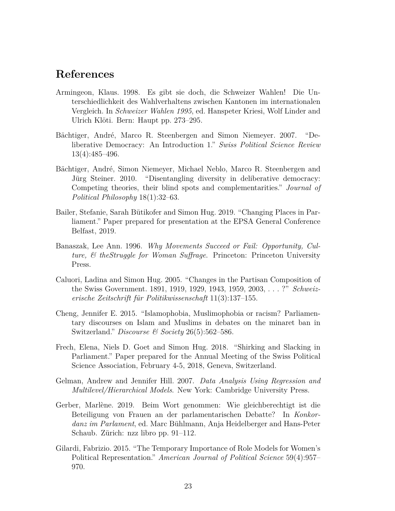### **References**

- Armingeon, Klaus. 1998. Es gibt sie doch, die Schweizer Wahlen! Die Unterschiedlichkeit des Wahlverhaltens zwischen Kantonen im internationalen Vergleich. In *Schweizer Wahlen 1995*, ed. Hanspeter Kriesi, Wolf Linder and Ulrich Klöti. Bern: Haupt pp. 273–295.
- Bächtiger, André, Marco R. Steenbergen and Simon Niemeyer. 2007. "Deliberative Democracy: An Introduction 1." *Swiss Political Science Review* 13(4):485–496.
- Bächtiger, André, Simon Niemeyer, Michael Neblo, Marco R. Steenbergen and Jürg Steiner. 2010. "Disentangling diversity in deliberative democracy: Competing theories, their blind spots and complementarities." *Journal of Political Philosophy* 18(1):32–63.
- Bailer, Stefanie, Sarah Bütikofer and Simon Hug. 2019. "Changing Places in Parliament." Paper prepared for presentation at the EPSA General Conference Belfast, 2019.
- Banaszak, Lee Ann. 1996. *Why Movements Succeed or Fail: Opportunity, Culture, & theStruggle for Woman Suffrage*. Princeton: Princeton University Press.
- Caluori, Ladina and Simon Hug. 2005. "Changes in the Partisan Composition of the Swiss Government. 1891, 1919, 1929, 1943, 1959, 2003, . . . ?" *Schweizerische Zeitschrift für Politikwissenschaft* 11(3):137–155.
- Cheng, Jennifer E. 2015. "Islamophobia, Muslimophobia or racism? Parliamentary discourses on Islam and Muslims in debates on the minaret ban in Switzerland." *Discourse & Society* 26(5):562–586.
- Frech, Elena, Niels D. Goet and Simon Hug. 2018. "Shirking and Slacking in Parliament." Paper prepared for the Annual Meeting of the Swiss Political Science Association, February 4-5, 2018, Geneva, Switzerland.
- Gelman, Andrew and Jennifer Hill. 2007. *Data Analysis Using Regression and Multilevel/Hierarchical Models*. New York: Cambridge University Press.
- Gerber, Marlène. 2019. Beim Wort genommen: Wie gleichberechtigt ist die Beteiligung von Frauen an der parlamentarischen Debatte? In *Konkordanz im Parlament*, ed. Marc Bühlmann, Anja Heidelberger and Hans-Peter Schaub. Zürich: nzz libro pp. 91–112.
- Gilardi, Fabrizio. 2015. "The Temporary Importance of Role Models for Women's Political Representation." *American Journal of Political Science* 59(4):957– 970.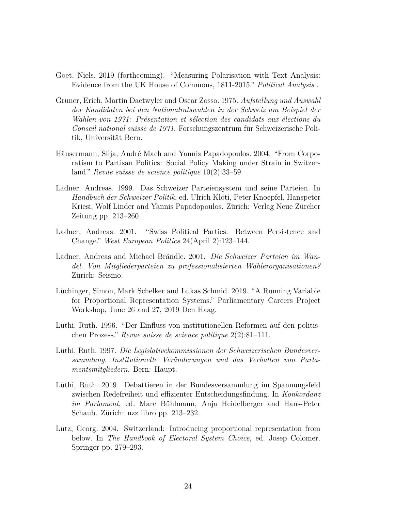- Goet, Niels. 2019 (forthcoming). "Measuring Polarisation with Text Analysis: Evidence from the UK House of Commons, 1811-2015." *Political Analysis* .
- Gruner, Erich, Martin Daetwyler and Oscar Zosso. 1975. *Aufstellung und Auswahl der Kandidaten bei den Nationalratswahlen in der Schweiz am Beispiel der Wahlen von 1971: Présentation et sélection des candidats aux élections du Conseil national suisse de 1971*. Forschungszentrum für Schweizerische Politik, Universität Bern.
- Häusermann, Silja, André Mach and Yannis Papadopoulos. 2004. "From Corporatism to Partisan Politics: Social Policy Making under Strain in Switzerland." *Revue suisse de science politique* 10(2):33–59.
- Ladner, Andreas. 1999. Das Schweizer Parteiensystem und seine Parteien. In *Handbuch der Schweizer Politik*, ed. Ulrich Klöti, Peter Knoepfel, Hanspeter Kriesi, Wolf Linder and Yannis Papadopoulos. Zürich: Verlag Neue Zürcher Zeitung pp. 213–260.
- Ladner, Andreas. 2001. "Swiss Political Parties: Between Persistence and Change." *West European Politics* 24(April 2):123–144.
- Ladner, Andreas and Michael Brändle. 2001. *Die Schweizer Parteien im Wandel. Von Mitgliederparteien zu professionalisierten Wählerorganisationen?* Zürich: Seismo.
- Lüchinger, Simon, Mark Schelker and Lukas Schmid. 2019. "A Running Variable for Proportional Representation Systems." Parliamentary Careers Project Workshop, June 26 and 27, 2019 Den Haag.
- Lüthi, Ruth. 1996. "Der Einfluss von institutionellen Reformen auf den politischen Prozess." *Revue suisse de science politique* 2(2):81–111.
- Lüthi, Ruth. 1997. *Die Legislativekommissionen der Schweizerischen Bundesversammlung. Institutionelle Veränderungen und das Verhalten von Parlamentsmitgliedern*. Bern: Haupt.
- Lüthi, Ruth. 2019. Debattieren in der Bundesversammlung im Spannungsfeld zwischen Redefreiheit und effizienter Entscheidungsfindung. In *Konkordanz im Parlament*, ed. Marc Bühlmann, Anja Heidelberger and Hans-Peter Schaub. Zürich: nzz libro pp. 213–232.
- Lutz, Georg. 2004. Switzerland: Introducing proportional representation from below. In *The Handbook of Electoral System Choice*, ed. Josep Colomer. Springer pp. 279–293.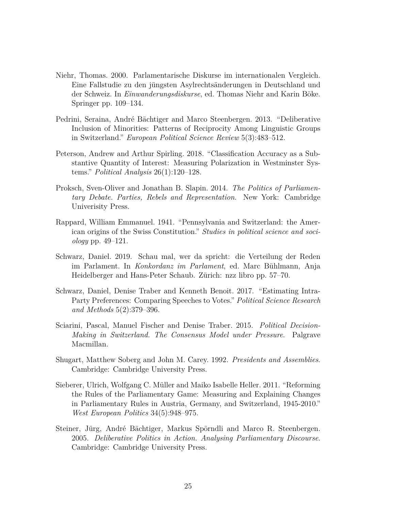- Niehr, Thomas. 2000. Parlamentarische Diskurse im internationalen Vergleich. Eine Fallstudie zu den jüngsten Asylrechtsänderungen in Deutschland und der Schweiz. In *Einwanderungsdiskurse*, ed. Thomas Niehr and Karin Böke. Springer pp. 109–134.
- Pedrini, Seraina, André Bächtiger and Marco Steenbergen. 2013. "Deliberative Inclusion of Minorities: Patterns of Reciprocity Among Linguistic Groups in Switzerland." *European Political Science Review* 5(3):483–512.
- Peterson, Andrew and Arthur Spirling. 2018. "Classification Accuracy as a Substantive Quantity of Interest: Measuring Polarization in Westminster Systems." *Political Analysis* 26(1):120–128.
- Proksch, Sven-Oliver and Jonathan B. Slapin. 2014. *The Politics of Parliamentary Debate. Parties, Rebels and Representation*. New York: Cambridge Univerisity Press.
- Rappard, William Emmanuel. 1941. "Pennsylvania and Switzerland: the American origins of the Swiss Constitution." *Studies in political science and sociology* pp. 49–121.
- Schwarz, Daniel. 2019. Schau mal, wer da spricht: die Verteilung der Reden im Parlament. In *Konkordanz im Parlament*, ed. Marc Bühlmann, Anja Heidelberger and Hans-Peter Schaub. Zürich: nzz libro pp. 57–70.
- Schwarz, Daniel, Denise Traber and Kenneth Benoit. 2017. "Estimating Intra-Party Preferences: Comparing Speeches to Votes." *Political Science Research and Methods* 5(2):379–396.
- Sciarini, Pascal, Manuel Fischer and Denise Traber. 2015. *Political Decision-Making in Switzerland. The Consensus Model under Pressure*. Palgrave Macmillan.
- Shugart, Matthew Soberg and John M. Carey. 1992. *Presidents and Assemblies*. Cambridge: Cambridge University Press.
- Sieberer, Ulrich, Wolfgang C. Müller and Maiko Isabelle Heller. 2011. "Reforming the Rules of the Parliamentary Game: Measuring and Explaining Changes in Parliamentary Rules in Austria, Germany, and Switzerland, 1945-2010." *West European Politics* 34(5):948–975.
- Steiner, Jürg, André Bächtiger, Markus Spörndli and Marco R. Steenbergen. 2005. *Deliberative Politics in Action. Analysing Parliamentary Discourse*. Cambridge: Cambridge University Press.